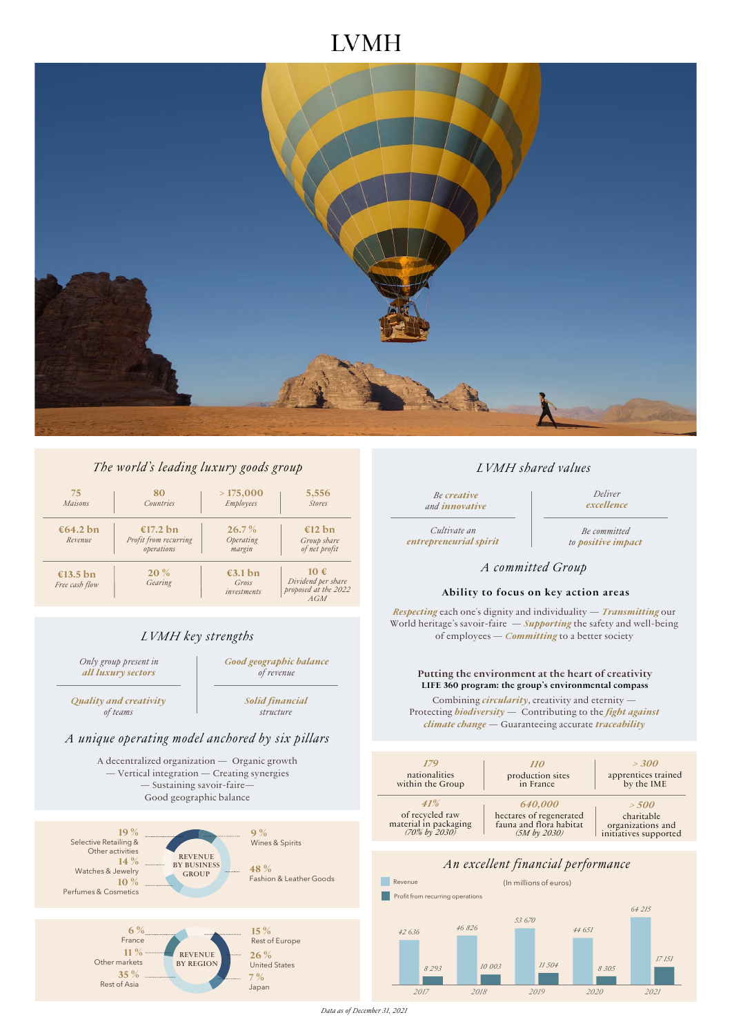# **IVMH**



### *The world's leading luxury goods group*

| 75<br>Maisons              | 80<br><b>Countries</b>                          | >175,000<br>Employees                     | 5,556<br><b>Stores</b>                                   |
|----------------------------|-------------------------------------------------|-------------------------------------------|----------------------------------------------------------|
| €64.2 bn<br>Revenue        | €17.2 bn<br>Profit from recurring<br>operations | $26.7\%$<br>Operating<br>margin           | €12 bn<br>Group share<br>of net profit                   |
| €13.5 bn<br>Free cash flow | $20\%$<br>Gearing                               | $\epsilon$ 3.1 bn<br>Gross<br>investments | 10€<br>Dividend per share<br>proposed at the 2022<br>AGM |

## *LVMH key strengths*

*Only group present in all luxury sectors*

*Good geographic balance of revenue* 

*Quality and creativity of teams*

*Solid financial structure*

## *A unique operating model anchored by six pillars*

A decentralized organization — Organic growth — Vertical integration — Creating synergies — Sustaining savoir-faire— Good geographic balance



#### *LVMH shared values*

*Be creative and innovative* 

*Deliver excellence*

*Cultivate an entrepreneurial spirit*

*Be committed to positive impact*

#### *A committed Group*

#### **Ability to focus on key action areas**

*Respecting* each one's dignity and individuality — *Transmitting* our World heritage's savoir-faire — *Supporting* the safety and well-being of employees — *Committing* to a better society

#### **Putting the environment at the heart of creativity LIFE 360 program: the group's environmental compass**

Combining *circularity*, creativity and eternity -Protecting *biodiversity* — Contributing to the *fight against climate change* — Guaranteeing accurate *traceability*



*2017 2018 2019 2020 2021*

*Data as of December 31, 2021*